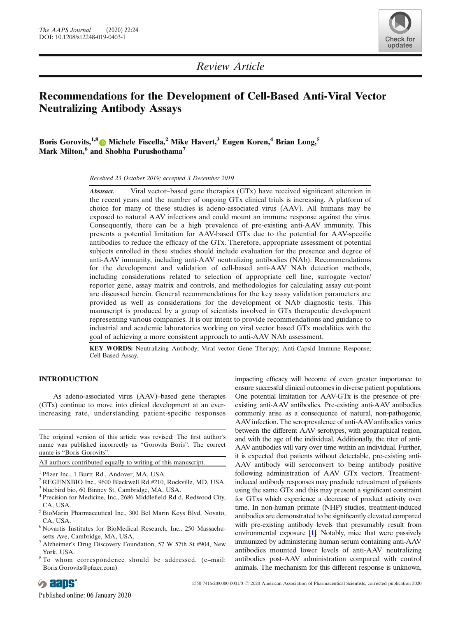

# Recommendations for the Development of Cell-Based Anti-Viral Vector Neutralizing Antibody Assays

Boris Gorovits,  $1,8$  Michele Fiscella,  $2$  Mike Havert,  $3$  Eugen Koren,  $4$  Brian Long,  $5$ Mark Milton.<sup>6</sup> and Shobha Purushothama<sup>7</sup>

Received 23 October 2019; accepted 3 December 2019

Abstract. Viral vector–based gene therapies (GTx) have received significant attention in the recent years and the number of ongoing GTx clinical trials is increasing. A platform of choice for many of these studies is adeno-associated virus (AAV). All humans may be exposed to natural AAV infections and could mount an immune response against the virus. Consequently, there can be a high prevalence of pre-existing anti-AAV immunity. This presents a potential limitation for AAV-based GTx due to the potential for AAV-specific antibodies to reduce the efficacy of the GTx. Therefore, appropriate assessment of potential subjects enrolled in these studies should include evaluation for the presence and degree of anti-AAV immunity, including anti-AAV neutralizing antibodies (NAb). Recommendations for the development and validation of cell-based anti-AAV NAb detection methods, including considerations related to selection of appropriate cell line, surrogate vector/ reporter gene, assay matrix and controls, and methodologies for calculating assay cut-point are discussed herein. General recommendations for the key assay validation parameters are provided as well as considerations for the development of NAb diagnostic tests. This manuscript is produced by a group of scientists involved in GTx therapeutic development representing various companies. It is our intent to provide recommendations and guidance to industrial and academic laboratories working on viral vector based GTx modalities with the goal of achieving a more consistent approach to anti-AAV NAb assessment.

KEY WORDS: Neutralizing Antibody; Viral vector Gene Therapy; Anti-Capsid Immune Response; Cell-Based Assay.

# INTRODUCTION

As adeno-associated virus (AAV)–based gene therapies (GTx) continue to move into clinical development at an everincreasing rate, understanding patient-specific responses

The original version of this article was revised: The first author's name was published incorrectly as "Gorovits Boris". The correct name is "Boris Gorovits".

All authors contributed equally to writing of this manuscript.

- 
- <sup>1</sup> Pfizer Inc., 1 Burtt Rd., Andover, MA, USA.  $2$  REGENXBIO Inc., 9600 Blackwell Rd #210, Rockville, MD, USA. <sup>3</sup> bluebird bio, 60 Binney St, Cambridge, MA, USA.
- 
- <sup>4</sup> Precision for Medicine, Inc., 2686 Middlefield Rd d, Redwood City, CA, USA.
- <sup>5</sup> BioMarin Pharmaceutical Inc., 300 Bel Marin Keys Blvd, Novato, CA, USA.
- <sup>6</sup> Novartis Institutes for BioMedical Research, Inc., 250 Massachusetts Ave, Cambridge, MA, USA.
- <sup>7</sup> Alzheimer's Drug Discovery Foundation, 57 W 57th St #904, New York, USA.
- <sup>8</sup> To whom correspondence should be addressed. (e–mail: Boris.Gorovits@pfizer.com)

impacting efficacy will become of even greater importance to ensure successful clinical outcomes in diverse patient populations. One potential limitation for AAV-GTx is the presence of preexisting anti-AAV antibodies. Pre-existing anti-AAV antibodies commonly arise as a consequence of natural, non-pathogenic, AAV infection. The seroprevalence of anti-AAVantibodies varies between the different AAV serotypes, with geographical region, and with the age of the individual. Additionally, the titer of anti-AAV antibodies will vary over time within an individual. Further, it is expected that patients without detectable, pre-existing anti-AAV antibody will seroconvert to being antibody positive following administration of AAV GTx vectors. Treatmentinduced antibody responses may preclude retreatment of patients using the same GTx and this may present a significant constraint for GTxs which experience a decrease of product activity over time. In non-human primate (NHP) studies, treatment-induced antibodies are demonstrated to be significantly elevated compared with pre-existing antibody levels that presumably result from environmental exposure [\[1\]](#page-7-0). Notably, mice that were passively immunized by administering human serum containing anti-AAV antibodies mounted lower levels of anti-AAV neutralizing antibodies post-AAV administration compared with control animals. The mechanism for this different response is unknown,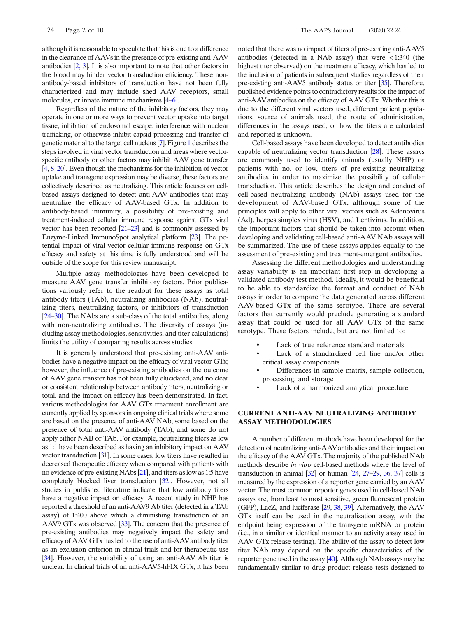although it is reasonable to speculate that this is due to a difference in the clearance of AAVs in the presence of pre-existing anti-AAV antibodies [[2](#page-7-0), [3\]](#page-7-0). It is also important to note that other factors in the blood may hinder vector transduction efficiency. These nonantibody-based inhibitors of transduction have not been fully characterized and may include shed AAV receptors, small molecules, or innate immune mechanisms [\[4](#page-7-0)–[6\]](#page-7-0).

Regardless of the nature of the inhibitory factors, they may operate in one or more ways to prevent vector uptake into target tissue, inhibition of endosomal escape, interference with nuclear trafficking, or otherwise inhibit capsid processing and transfer of genetic material to the target cell nucleus [\[7](#page-7-0)]. Figure [1](#page-2-0) describes the steps involved in viral vector transduction and areas where vectorspecific antibody or other factors may inhibit AAV gene transfer [\[4,](#page-7-0) [8](#page-7-0)–[20\]](#page-7-0). Even though the mechanisms for the inhibition of vector uptake and transgene expression may be diverse, these factors are collectively described as neutralizing. This article focuses on cellbased assays designed to detect anti-AAV antibodies that may neutralize the efficacy of AAV-based GTx. In addition to antibody-based immunity, a possibility of pre-existing and treatment-induced cellular immune response against GTx viral vector has been reported [[21](#page-7-0)–[23\]](#page-7-0) and is commonly assessed by Enzyme-Linked ImmunoSpot analytical platform [\[23\]](#page-7-0). The potential impact of viral vector cellular immune response on GTx efficacy and safety at this time is fully understood and will be outside of the scope for this review manuscript.

Multiple assay methodologies have been developed to measure AAV gene transfer inhibitory factors. Prior publications variously refer to the readout for these assays as total antibody titers (TAb), neutralizing antibodies (NAb), neutralizing titers, neutralizing factors, or inhibitors of transduction [[24](#page-7-0)–[30\]](#page-8-0). The NAbs are a sub-class of the total antibodies, along with non-neutralizing antibodies. The diversity of assays (including assay methodologies, sensitivities, and titer calculations) limits the utility of comparing results across studies.

It is generally understood that pre-existing anti-AAV antibodies have a negative impact on the efficacy of viral vector GTx; however, the influence of pre-existing antibodies on the outcome of AAV gene transfer has not been fully elucidated, and no clear or consistent relationship between antibody titers, neutralizing or total, and the impact on efficacy has been demonstrated. In fact, various methodologies for AAV GTx treatment enrollment are currently applied by sponsors in ongoing clinical trials where some are based on the presence of anti-AAV NAb, some based on the presence of total anti-AAV antibody (TAb), and some do not apply either NAB or TAb. For example, neutralizing titers as low as 1:1 have been described as having an inhibitory impact on AAV vector transduction [\[31\]](#page-8-0). In some cases, low titers have resulted in decreased therapeutic efficacy when compared with patients with no evidence of pre-existing NAbs [\[21](#page-7-0)], and titers as low as 1:5 have completely blocked liver transduction [[32](#page-8-0)]. However, not all studies in published literature indicate that low antibody titers have a negative impact on efficacy. A recent study in NHP has reported a threshold of an anti-AAV9 Ab titer (detected in a TAb assay) of 1:400 above which a diminishing transduction of an AAV9 GTx was observed [\[33\]](#page-8-0). The concern that the presence of pre-existing antibodies may negatively impact the safety and efficacy of AAV GTx has led to the use of anti-AAVantibody titer as an exclusion criterion in clinical trials and for therapeutic use [\[34\]](#page-8-0). However, the suitability of using an anti-AAV Ab titer is unclear. In clinical trials of an anti-AAV5-hFIX GTx, it has been

noted that there was no impact of titers of pre-existing anti-AAV5 antibodies (detected in a NAb assay) that were  $\lt 1:340$  (the highest titer observed) on the treatment efficacy, which has led to the inclusion of patients in subsequent studies regardless of their pre-existing anti-AAV5 antibody status or titer [\[35\]](#page-8-0). Therefore, published evidence points to contradictory results for the impact of anti-AAVantibodies on the efficacy of AAV GTx. Whether this is due to the different viral vectors used, different patient populations, source of animals used, the route of administration, differences in the assays used, or how the titers are calculated and reported is unknown.

Cell-based assays have been developed to detect antibodies capable of neutralizing vector transduction [\[28\]](#page-8-0). These assays are commonly used to identify animals (usually NHP) or patients with no, or low, titers of pre-existing neutralizing antibodies in order to maximize the possibility of cellular transduction. This article describes the design and conduct of cell-based neutralizing antibody (NAb) assays used for the development of AAV-based GTx, although some of the principles will apply to other viral vectors such as Adenovirus (Ad), herpes simplex virus (HSV), and Lentivirus. In addition, the important factors that should be taken into account when developing and validating cell-based anti-AAV NAb assays will be summarized. The use of these assays applies equally to the assessment of pre-existing and treatment-emergent antibodies.

Assessing the different methodologies and understanding assay variability is an important first step in developing a validated antibody test method. Ideally, it would be beneficial to be able to standardize the format and conduct of NAb assays in order to compare the data generated across different AAV-based GTx of the same serotype. There are several factors that currently would preclude generating a standard assay that could be used for all AAV GTx of the same serotype. These factors include, but are not limited to:

- Lack of true reference standard materials
- Lack of a standardized cell line and/or other critical assay components
- Differences in sample matrix, sample collection, processing, and storage
- Lack of a harmonized analytical procedure

## CURRENT ANTI-AAV NEUTRALIZING ANTIBODY ASSAY METHODOLOGIES

A number of different methods have been developed for the detection of neutralizing anti-AAV antibodies and their impact on the efficacy of the AAV GTx. The majority of the published NAb methods describe in vitro cell-based methods where the level of transduction in animal  $\left[32\right]$  or human  $\left[24, 27-29, 36, 37\right]$  $\left[24, 27-29, 36, 37\right]$  $\left[24, 27-29, 36, 37\right]$  $\left[24, 27-29, 36, 37\right]$  $\left[24, 27-29, 36, 37\right]$  $\left[24, 27-29, 36, 37\right]$  $\left[24, 27-29, 36, 37\right]$  $\left[24, 27-29, 36, 37\right]$  $\left[24, 27-29, 36, 37\right]$  cells is measured by the expression of a reporter gene carried by an AAV vector. The most common reporter genes used in cell-based NAb assays are, from least to most sensitive, green fluorescent protein (GFP), LacZ, and luciferase [[29](#page-8-0), [38](#page-8-0), [39\]](#page-8-0). Alternatively, the AAV GTx itself can be used in the neutralization assay, with the endpoint being expression of the transgene mRNA or protein (i.e., in a similar or identical manner to an activity assay used in AAV GTx release testing). The ability of the assay to detect low titer NAb may depend on the specific characteristics of the reporter gene used in the assay [[40](#page-8-0)]. Although NAb assays may be fundamentally similar to drug product release tests designed to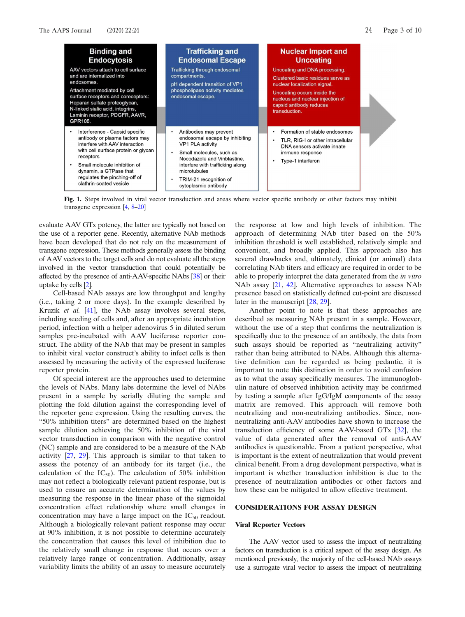<span id="page-2-0"></span>

Fig. 1. Steps involved in viral vector transduction and areas where vector specific antibody or other factors may inhibit transgene expression [[4,](#page-7-0) [8](#page-7-0)–[20](#page-7-0)]

evaluate AAV GTx potency, the latter are typically not based on the use of a reporter gene. Recently, alternative NAb methods have been developed that do not rely on the measurement of transgene expression. These methods generally assess the binding of AAV vectors to the target cells and do not evaluate all the steps involved in the vector transduction that could potentially be affected by the presence of anti-AAV-specific NAbs [\[38\]](#page-8-0) or their uptake by cells [[2\]](#page-7-0).

Cell-based NAb assays are low throughput and lengthy (i.e., taking 2 or more days). In the example described by Kruzik et al. [[41\]](#page-8-0), the NAb assay involves several steps, including seeding of cells and, after an appropriate incubation period, infection with a helper adenovirus 5 in diluted serum samples pre-incubated with AAV luciferase reporter construct. The ability of the NAb that may be present in samples to inhibit viral vector construct's ability to infect cells is then assessed by measuring the activity of the expressed luciferase reporter protein.

Of special interest are the approaches used to determine the levels of NAbs. Many labs determine the level of NAbs present in a sample by serially diluting the sample and plotting the fold dilution against the corresponding level of the reporter gene expression. Using the resulting curves, the "50% inhibition titers" are determined based on the highest sample dilution achieving the 50% inhibition of the viral vector transduction in comparison with the negative control (NC) sample and are considered to be a measure of the NAb activity [\[27](#page-8-0), [29](#page-8-0)]. This approach is similar to that taken to assess the potency of an antibody for its target (i.e., the calculation of the  $IC_{50}$ ). The calculation of 50% inhibition may not reflect a biologically relevant patient response, but is used to ensure an accurate determination of the values by measuring the response in the linear phase of the sigmoidal concentration effect relationship where small changes in concentration may have a large impact on the  $IC_{50}$  readout. Although a biologically relevant patient response may occur at 90% inhibition, it is not possible to determine accurately the concentration that causes this level of inhibition due to the relatively small change in response that occurs over a relatively large range of concentration. Additionally, assay variability limits the ability of an assay to measure accurately the response at low and high levels of inhibition. The approach of determining NAb titer based on the 50% inhibition threshold is well established, relatively simple and convenient, and broadly applied. This approach also has several drawbacks and, ultimately, clinical (or animal) data correlating NAb titers and efficacy are required in order to be able to properly interpret the data generated from the in vitro NAb assay [[21,](#page-7-0) [42](#page-8-0)]. Alternative approaches to assess NAb presence based on statistically defined cut-point are discussed later in the manuscript [\[28](#page-8-0), [29](#page-8-0)].

Another point to note is that these approaches are described as measuring NAb present in a sample. However, without the use of a step that confirms the neutralization is specifically due to the presence of an antibody, the data from such assays should be reported as "neutralizing activity" rather than being attributed to NAbs. Although this alternative definition can be regarded as being pedantic, it is important to note this distinction in order to avoid confusion as to what the assay specifically measures. The immunoglobulin nature of observed inhibition activity may be confirmed by testing a sample after IgG/IgM components of the assay matrix are removed. This approach will remove both neutralizing and non-neutralizing antibodies. Since, nonneutralizing anti-AAV antibodies have shown to increase the transduction efficiency of some AAV-based GTx [[32\]](#page-8-0), the value of data generated after the removal of anti-AAV antibodies is questionable. From a patient perspective, what is important is the extent of neutralization that would prevent clinical benefit. From a drug development perspective, what is important is whether transduction inhibition is due to the presence of neutralization antibodies or other factors and how these can be mitigated to allow effective treatment.

#### CONSIDERATIONS FOR ASSAY DESIGN

#### Viral Reporter Vectors

The AAV vector used to assess the impact of neutralizing factors on transduction is a critical aspect of the assay design. As mentioned previously, the majority of the cell-based NAb assays use a surrogate viral vector to assess the impact of neutralizing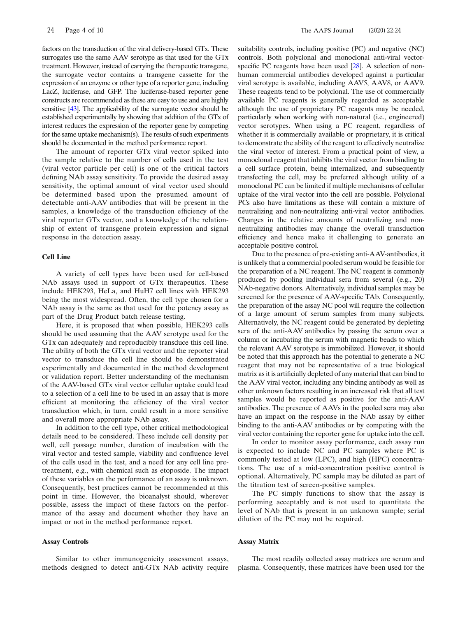factors on the transduction of the viral delivery-based GTx. These surrogates use the same AAV serotype as that used for the GTx treatment. However, instead of carrying the therapeutic transgene, the surrogate vector contains a transgene cassette for the expression of an enzyme or other type of a reporter gene, including LacZ, luciferase, and GFP. The luciferase-based reporter gene constructs are recommended as these are easy to use and are highly sensitive [\[43](#page-8-0)]. The applicability of the surrogate vector should be established experimentally by showing that addition of the GTx of interest reduces the expression of the reporter gene by competing for the same uptake mechanism(s). The results of such experiments should be documented in the method performance report.

The amount of reporter GTx viral vector spiked into the sample relative to the number of cells used in the test (viral vector particle per cell) is one of the critical factors defining NAb assay sensitivity. To provide the desired assay sensitivity, the optimal amount of viral vector used should be determined based upon the presumed amount of detectable anti-AAV antibodies that will be present in the samples, a knowledge of the transduction efficiency of the viral reporter GTx vector, and a knowledge of the relationship of extent of transgene protein expression and signal response in the detection assay.

#### Cell Line

A variety of cell types have been used for cell-based NAb assays used in support of GTx therapeutics. These include HEK293, HeLa, and HuH7 cell lines with HEK293 being the most widespread. Often, the cell type chosen for a NAb assay is the same as that used for the potency assay as part of the Drug Product batch release testing.

Here, it is proposed that when possible, HEK293 cells should be used assuming that the AAV serotype used for the GTx can adequately and reproducibly transduce this cell line. The ability of both the GTx viral vector and the reporter viral vector to transduce the cell line should be demonstrated experimentally and documented in the method development or validation report. Better understanding of the mechanism of the AAV-based GTx viral vector cellular uptake could lead to a selection of a cell line to be used in an assay that is more efficient at monitoring the efficiency of the viral vector transduction which, in turn, could result in a more sensitive and overall more appropriate NAb assay.

In addition to the cell type, other critical methodological details need to be considered. These include cell density per well, cell passage number, duration of incubation with the viral vector and tested sample, viability and confluence level of the cells used in the test, and a need for any cell line pretreatment, e.g., with chemical such as etoposide. The impact of these variables on the performance of an assay is unknown. Consequently, best practices cannot be recommended at this point in time. However, the bioanalyst should, wherever possible, assess the impact of these factors on the performance of the assay and document whether they have an impact or not in the method performance report.

## Assay Controls

Similar to other immunogenicity assessment assays, methods designed to detect anti-GTx NAb activity require suitability controls, including positive (PC) and negative (NC) controls. Both polyclonal and monoclonal anti-viral vector-specific PC reagents have been used [[28\]](#page-8-0). A selection of nonhuman commercial antibodies developed against a particular viral serotype is available, including AAV5, AAV8, or AAV9. These reagents tend to be polyclonal. The use of commercially available PC reagents is generally regarded as acceptable although the use of proprietary PC reagents may be needed, particularly when working with non-natural (i.e., engineered) vector serotypes. When using a PC reagent, regardless of whether it is commercially available or proprietary, it is critical to demonstrate the ability of the reagent to effectively neutralize the viral vector of interest. From a practical point of view, a monoclonal reagent that inhibits the viral vector from binding to a cell surface protein, being internalized, and subsequently transfecting the cell, may be preferred although utility of a monoclonal PC can be limited if multiple mechanisms of cellular uptake of the viral vector into the cell are possible. Polyclonal PCs also have limitations as these will contain a mixture of neutralizing and non-neutralizing anti-viral vector antibodies. Changes in the relative amounts of neutralizing and nonneutralizing antibodies may change the overall transduction efficiency and hence make it challenging to generate an acceptable positive control.

Due to the presence of pre-existing anti-AAV-antibodies, it is unlikely that a commercial pooled serum would be feasible for the preparation of a NC reagent. The NC reagent is commonly produced by pooling individual sera from several (e.g., 20) NAb-negative donors. Alternatively, individual samples may be screened for the presence of AAV-specific TAb. Consequently, the preparation of the assay NC pool will require the collection of a large amount of serum samples from many subjects. Alternatively, the NC reagent could be generated by depleting sera of the anti-AAV antibodies by passing the serum over a column or incubating the serum with magnetic beads to which the relevant AAV serotype is immobilized. However, it should be noted that this approach has the potential to generate a NC reagent that may not be representative of a true biological matrix as it is artificially depleted of any material that can bind to the AAV viral vector, including any binding antibody as well as other unknown factors resulting in an increased risk that all test samples would be reported as positive for the anti-AAV antibodies. The presence of AAVs in the pooled sera may also have an impact on the response in the NAb assay by either binding to the anti-AAV antibodies or by competing with the viral vector containing the reporter gene for uptake into the cell.

In order to monitor assay performance, each assay run is expected to include NC and PC samples where PC is commonly tested at low (LPC), and high (HPC) concentrations. The use of a mid-concentration positive control is optional. Alternatively, PC sample may be diluted as part of the titration test of screen-positive samples.

The PC simply functions to show that the assay is performing acceptably and is not used to quantitate the level of NAb that is present in an unknown sample; serial dilution of the PC may not be required.

#### Assay Matrix

The most readily collected assay matrices are serum and plasma. Consequently, these matrices have been used for the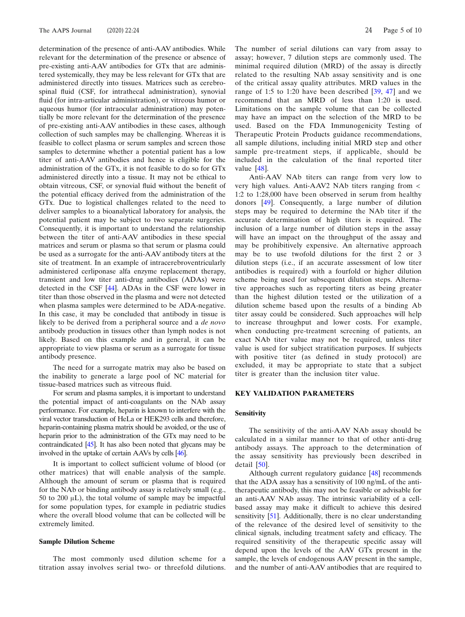determination of the presence of anti-AAV antibodies. While relevant for the determination of the presence or absence of pre-existing anti-AAV antibodies for GTx that are administered systemically, they may be less relevant for GTx that are administered directly into tissues. Matrices such as cerebrospinal fluid (CSF, for intrathecal administration), synovial fluid (for intra-articular administration), or vitreous humor or aqueous humor (for intraocular administration) may potentially be more relevant for the determination of the presence of pre-existing anti-AAV antibodies in these cases, although collection of such samples may be challenging. Whereas it is feasible to collect plasma or serum samples and screen those samples to determine whether a potential patient has a low titer of anti-AAV antibodies and hence is eligible for the administration of the GTx, it is not feasible to do so for GTx administered directly into a tissue. It may not be ethical to obtain vitreous, CSF, or synovial fluid without the benefit of the potential efficacy derived from the administration of the GTx. Due to logistical challenges related to the need to deliver samples to a bioanalytical laboratory for analysis, the potential patient may be subject to two separate surgeries. Consequently, it is important to understand the relationship between the titer of anti-AAV antibodies in these special matrices and serum or plasma so that serum or plasma could be used as a surrogate for the anti-AAV antibody titers at the site of treatment. In an example of intracerebroventricularly administered cerliponase alfa enzyme replacement therapy, transient and low titer anti-drug antibodies (ADAs) were detected in the CSF [[44\]](#page-8-0). ADAs in the CSF were lower in titer than those observed in the plasma and were not detected when plasma samples were determined to be ADA-negative. In this case, it may be concluded that antibody in tissue is likely to be derived from a peripheral source and a *de novo* antibody production in tissues other than lymph nodes is not likely. Based on this example and in general, it can be appropriate to view plasma or serum as a surrogate for tissue antibody presence.

The need for a surrogate matrix may also be based on the inability to generate a large pool of NC material for tissue-based matrices such as vitreous fluid.

For serum and plasma samples, it is important to understand the potential impact of anti-coagulants on the NAb assay performance. For example, heparin is known to interfere with the viral vector transduction of HeLa or HEK293 cells and therefore, heparin-containing plasma matrix should be avoided, or the use of heparin prior to the administration of the GTx may need to be contraindicated [[45\]](#page-8-0). It has also been noted that glycans may be involved in the uptake of certain AAVs by cells [\[46\]](#page-8-0).

It is important to collect sufficient volume of blood (or other matrices) that will enable analysis of the sample. Although the amount of serum or plasma that is required for the NAb or binding antibody assay is relatively small (e.g., 50 to 200  $\mu$ L), the total volume of sample may be impactful for some population types, for example in pediatric studies where the overall blood volume that can be collected will be extremely limited.

#### Sample Dilution Scheme

The most commonly used dilution scheme for a titration assay involves serial two- or threefold dilutions.

The number of serial dilutions can vary from assay to assay; however, 7 dilution steps are commonly used. The minimal required dilution (MRD) of the assay is directly related to the resulting NAb assay sensitivity and is one of the critical assay quality attributes. MRD values in the range of 1:5 to 1:20 have been described [[39](#page-8-0), [47\]](#page-8-0) and we recommend that an MRD of less than 1:20 is used. Limitations on the sample volume that can be collected may have an impact on the selection of the MRD to be used. Based on the FDA Immunogenicity Testing of Therapeutic Protein Products guidance recommendations, all sample dilutions, including initial MRD step and other sample pre-treatment steps, if applicable, should be included in the calculation of the final reported titer value [[48](#page-8-0)].

Anti-AAV NAb titers can range from very low to very high values. Anti-AAV2 NAb titers ranging from < 1:2 to 1:28,000 have been observed in serum from healthy donors [[49\]](#page-8-0). Consequently, a large number of dilution steps may be required to determine the NAb titer if the accurate determination of high titers is required. The inclusion of a large number of dilution steps in the assay will have an impact on the throughput of the assay and may be prohibitively expensive. An alternative approach may be to use twofold dilutions for the first 2 or 3 dilution steps (i.e., if an accurate assessment of low titer antibodies is required) with a fourfold or higher dilution scheme being used for subsequent dilution steps. Alternative approaches such as reporting titers as being greater than the highest dilution tested or the utilization of a dilution scheme based upon the results of a binding Ab titer assay could be considered. Such approaches will help to increase throughput and lower costs. For example, when conducting pre-treatment screening of patients, an exact NAb titer value may not be required, unless titer value is used for subject stratification purposes. If subjects with positive titer (as defined in study protocol) are excluded, it may be appropriate to state that a subject titer is greater than the inclusion titer value.

#### KEY VALIDATION PARAMETERS

## **Sensitivity**

The sensitivity of the anti-AAV NAb assay should be calculated in a similar manner to that of other anti-drug antibody assays. The approach to the determination of the assay sensitivity has previously been described in detail [[50\]](#page-8-0).

Although current regulatory guidance [[48](#page-8-0)] recommends that the ADA assay has a sensitivity of 100 ng/mL of the antitherapeutic antibody, this may not be feasible or advisable for an anti-AAV NAb assay. The intrinsic variability of a cellbased assay may make it difficult to achieve this desired sensitivity [[51\]](#page-8-0). Additionally, there is no clear understanding of the relevance of the desired level of sensitivity to the clinical signals, including treatment safety and efficacy. The required sensitivity of the therapeutic specific assay will depend upon the levels of the AAV GTx present in the sample, the levels of endogenous AAV present in the sample, and the number of anti-AAV antibodies that are required to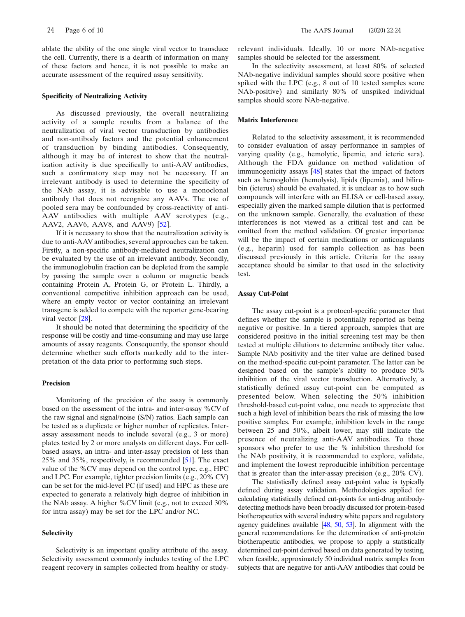ablate the ability of the one single viral vector to transduce the cell. Currently, there is a dearth of information on many of these factors and hence, it is not possible to make an accurate assessment of the required assay sensitivity.

#### Specificity of Neutralizing Activity

As discussed previously, the overall neutralizing activity of a sample results from a balance of the neutralization of viral vector transduction by antibodies and non-antibody factors and the potential enhancement of transduction by binding antibodies. Consequently, although it may be of interest to show that the neutralization activity is due specifically to anti-AAV antibodies, such a confirmatory step may not be necessary. If an irrelevant antibody is used to determine the specificity of the NAb assay, it is advisable to use a monoclonal antibody that does not recognize any AAVs. The use of pooled sera may be confounded by cross-reactivity of anti-AAV antibodies with multiple AAV serotypes (e.g., AAV2, AAV6, AAV8, and AAV9) [[52\]](#page-8-0).

If it is necessary to show that the neutralization activity is due to anti-AAV antibodies, several approaches can be taken. Firstly, a non-specific antibody-mediated neutralization can be evaluated by the use of an irrelevant antibody. Secondly, the immunoglobulin fraction can be depleted from the sample by passing the sample over a column or magnetic beads containing Protein A, Protein G, or Protein L. Thirdly, a conventional competitive inhibition approach can be used, where an empty vector or vector containing an irrelevant transgene is added to compete with the reporter gene-bearing viral vector [\[28](#page-8-0)].

It should be noted that determining the specificity of the response will be costly and time-consuming and may use large amounts of assay reagents. Consequently, the sponsor should determine whether such efforts markedly add to the interpretation of the data prior to performing such steps.

## Precision

Monitoring of the precision of the assay is commonly based on the assessment of the intra- and inter-assay %CV of the raw signal and signal/noise (S/N) ratios. Each sample can be tested as a duplicate or higher number of replicates. Interassay assessment needs to include several (e.g., 3 or more) plates tested by 2 or more analysts on different days. For cellbased assays, an intra- and inter-assay precision of less than 25% and 35%, respectively, is recommended [[51\]](#page-8-0). The exact value of the %CV may depend on the control type, e.g., HPC and LPC. For example, tighter precision limits (e.g., 20% CV) can be set for the mid-level PC (if used) and HPC as these are expected to generate a relatively high degree of inhibition in the NAb assay. A higher %CV limit (e.g., not to exceed 30% for intra assay) may be set for the LPC and/or NC.

#### Selectivity

Selectivity is an important quality attribute of the assay. Selectivity assessment commonly includes testing of the LPC reagent recovery in samples collected from healthy or study-

relevant individuals. Ideally, 10 or more NAb-negative samples should be selected for the assessment.

In the selectivity assessment, at least 80% of selected NAb-negative individual samples should score positive when spiked with the LPC (e.g., 8 out of 10 tested samples score NAb-positive) and similarly 80% of unspiked individual samples should score NAb-negative.

## Matrix Interference

Related to the selectivity assessment, it is recommended to consider evaluation of assay performance in samples of varying quality (e.g., hemolytic, lipemic, and icteric sera). Although the FDA guidance on method validation of immunogenicity assays [[48\]](#page-8-0) states that the impact of factors such as hemoglobin (hemolysis), lipids (lipemia), and bilirubin (icterus) should be evaluated, it is unclear as to how such compounds will interfere with an ELISA or cell-based assay, especially given the marked sample dilution that is performed on the unknown sample. Generally, the evaluation of these interferences is not viewed as a critical test and can be omitted from the method validation. Of greater importance will be the impact of certain medications or anticoagulants (e.g., heparin) used for sample collection as has been discussed previously in this article. Criteria for the assay acceptance should be similar to that used in the selectivity test.

#### Assay Cut-Point

The assay cut-point is a protocol-specific parameter that defines whether the sample is potentially reported as being negative or positive. In a tiered approach, samples that are considered positive in the initial screening test may be then tested at multiple dilutions to determine antibody titer value. Sample NAb positivity and the titer value are defined based on the method-specific cut-point parameter. The latter can be designed based on the sample's ability to produce 50% inhibition of the viral vector transduction. Alternatively, a statistically defined assay cut-point can be computed as presented below. When selecting the 50% inhibition threshold-based cut-point value, one needs to appreciate that such a high level of inhibition bears the risk of missing the low positive samples. For example, inhibition levels in the range between 25 and 50%, albeit lower, may still indicate the presence of neutralizing anti-AAV antibodies. To those sponsors who prefer to use the % inhibition threshold for the NAb positivity, it is recommended to explore, validate, and implement the lowest reproducible inhibition percentage that is greater than the inter-assay precision (e.g., 20% CV).

The statistically defined assay cut-point value is typically defined during assay validation. Methodologies applied for calculating statistically defined cut-points for anti-drug antibodydetecting methods have been broadly discussed for protein-based biotherapeutics with several industry white papers and regulatory agency guidelines available [\[48,](#page-8-0) [50](#page-8-0), [53\]](#page-8-0). In alignment with the general recommendations for the determination of anti-protein biotherapeutic antibodies, we propose to apply a statistically determined cut-point derived based on data generated by testing, when feasible, approximately 50 individual matrix samples from subjects that are negative for anti-AAV antibodies that could be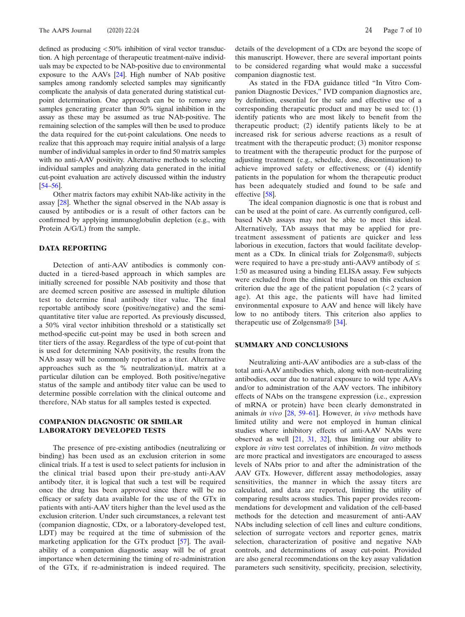defined as producing < 50% inhibition of viral vector transduction. A high percentage of therapeutic treatment-naïve individuals may be expected to be NAb-positive due to environmental exposure to the AAVs [[24](#page-7-0)]. High number of NAb positive samples among randomly selected samples may significantly complicate the analysis of data generated during statistical cutpoint determination. One approach can be to remove any samples generating greater than 50% signal inhibition in the assay as these may be assumed as true NAb-positive. The remaining selection of the samples will then be used to produce the data required for the cut-point calculations. One needs to realize that this approach may require initial analysis of a large number of individual samples in order to find 50 matrix samples with no anti-AAV positivity. Alternative methods to selecting individual samples and analyzing data generated in the initial cut-point evaluation are actively discussed within the industry [[54](#page-8-0)–[56\]](#page-8-0).

Other matrix factors may exhibit NAb-like activity in the assay [[28](#page-8-0)]. Whether the signal observed in the NAb assay is caused by antibodies or is a result of other factors can be confirmed by applying immunoglobulin depletion (e.g., with Protein A/G/L) from the sample.

## DATA REPORTING

Detection of anti-AAV antibodies is commonly conducted in a tiered-based approach in which samples are initially screened for possible NAb positivity and those that are deemed screen positive are assessed in multiple dilution test to determine final antibody titer value. The final reportable antibody score (positive/negative) and the semiquantitative titer value are reported. As previously discussed, a 50% viral vector inhibition threshold or a statistically set method-specific cut-point may be used in both screen and titer tiers of the assay. Regardless of the type of cut-point that is used for determining NAb positivity, the results from the NAb assay will be commonly reported as a titer. Alternative approaches such as the % neutralization/μL matrix at a particular dilution can be employed. Both positive/negative status of the sample and antibody titer value can be used to determine possible correlation with the clinical outcome and therefore, NAb status for all samples tested is expected.

## COMPANION DIAGNOSTIC OR SIMILAR LABORATORY DEVELOPED TESTS

The presence of pre-existing antibodies (neutralizing or binding) has been used as an exclusion criterion in some clinical trials. If a test is used to select patients for inclusion in the clinical trial based upon their pre-study anti-AAV antibody titer, it is logical that such a test will be required once the drug has been approved since there will be no efficacy or safety data available for the use of the GTx in patients with anti-AAV titers higher than the level used as the exclusion criterion. Under such circumstances, a relevant test (companion diagnostic, CDx, or a laboratory-developed test, LDT) may be required at the time of submission of the marketing application for the GTx product [[57\]](#page-9-0). The availability of a companion diagnostic assay will be of great importance when determining the timing of re-administration of the GTx, if re-administration is indeed required. The details of the development of a CDx are beyond the scope of this manuscript. However, there are several important points to be considered regarding what would make a successful companion diagnostic test.

As stated in the FDA guidance titled "In Vitro Companion Diagnostic Devices," IVD companion diagnostics are, by definition, essential for the safe and effective use of a corresponding therapeutic product and may be used to: (1) identify patients who are most likely to benefit from the therapeutic product; (2) identify patients likely to be at increased risk for serious adverse reactions as a result of treatment with the therapeutic product; (3) monitor response to treatment with the therapeutic product for the purpose of adjusting treatment (e.g., schedule, dose, discontinuation) to achieve improved safety or effectiveness; or (4) identify patients in the population for whom the therapeutic product has been adequately studied and found to be safe and effective [[58\]](#page-9-0).

The ideal companion diagnostic is one that is robust and can be used at the point of care. As currently configured, cellbased NAb assays may not be able to meet this ideal. Alternatively, TAb assays that may be applied for pretreatment assessment of patients are quicker and less laborious in execution, factors that would facilitate development as a CDx. In clinical trials for Zolgensma®, subjects were required to have a pre-study anti-AAV9 antibody of  $\leq$ 1:50 as measured using a binding ELISA assay. Few subjects were excluded from the clinical trial based on this exclusion criterion due the age of the patient population  $\ll$  2 years of age). At this age, the patients will have had limited environmental exposure to AAV and hence will likely have low to no antibody titers. This criterion also applies to therapeutic use of Zolgensma® [[34\]](#page-8-0).

## SUMMARY AND CONCLUSIONS

Neutralizing anti-AAV antibodies are a sub-class of the total anti-AAV antibodies which, along with non-neutralizing antibodies, occur due to natural exposure to wild type AAVs and/or to administration of the AAV vectors. The inhibitory effects of NAbs on the transgene expression (i.e., expression of mRNA or protein) have been clearly demonstrated in animals in vivo [[28,](#page-8-0) [59](#page-9-0)–[61\]](#page-9-0). However, in vivo methods have limited utility and were not employed in human clinical studies where inhibitory effects of anti-AAV NAbs were observed as well [[21,](#page-7-0) [31](#page-8-0), [32](#page-8-0)], thus limiting our ability to explore in vitro test correlates of inhibition. In vitro methods are more practical and investigators are encouraged to assess levels of NAbs prior to and after the administration of the AAV GTx. However, different assay methodologies, assay sensitivities, the manner in which the assay titers are calculated, and data are reported, limiting the utility of comparing results across studies. This paper provides recommendations for development and validation of the cell-based methods for the detection and measurement of anti-AAV NAbs including selection of cell lines and culture conditions, selection of surrogate vectors and reporter genes, matrix selection, characterization of positive and negative NAb controls, and determinations of assay cut-point. Provided are also general recommendations on the key assay validation parameters such sensitivity, specificity, precision, selectivity,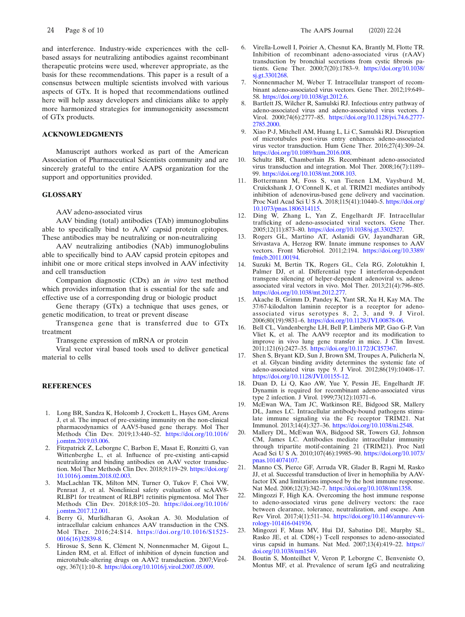<span id="page-7-0"></span>and interference. Industry-wide experiences with the cellbased assays for neutralizing antibodies against recombinant therapeutic proteins were used, wherever appropriate, as the basis for these recommendations. This paper is a result of a consensus between multiple scientists involved with various aspects of GTx. It is hoped that recommendations outlined here will help assay developers and clinicians alike to apply more harmonized strategies for immunogenicity assessment of GTx products.

## ACKNOWLEDGMENTS

Manuscript authors worked as part of the American Association of Pharmaceutical Scientists community and are sincerely grateful to the entire AAPS organization for the support and opportunities provided.

#### **GLOSSARY**

AAV adeno-associated virus

AAV binding (total) antibodies (TAb) immunoglobulins able to specifically bind to AAV capsid protein epitopes. These antibodies may be neutralizing or non-neutralizing

AAV neutralizing antibodies (NAb) immunoglobulins able to specifically bind to AAV capsid protein epitopes and inhibit one or more critical steps involved in AAV infectivity and cell transduction

Companion diagnostic (CDx) an in vitro test method which provides information that is essential for the safe and effective use of a corresponding drug or biologic product

Gene therapy (GTx) a technique that uses genes, or genetic modification, to treat or prevent disease

Transgenea gene that is transferred due to GTx treatment

Transgene expression of mRNA or protein

Viral vector viral based tools used to deliver genetical material to cells

#### **REFERENCES**

- 1. Long BR, Sandza K, Holcomb J, Crockett L, Hayes GM, Arens J, et al. The impact of pre-existing immunity on the non-clinical pharmacodynamics of AAV5-based gene therapy. Mol Ther Methods Clin Dev. 2019;13:440–52. [https://doi.org/10.1016/](http://dx.doi.org/10.1016/j.omtm.2019.03.006) [j.omtm.2019.03.006.](http://dx.doi.org/10.1016/j.omtm.2019.03.006)
- 2. Fitzpatrick Z, Leborgne C, Barbon E, Masat E, Ronzitti G, van Wittenberghe L, et al. Influence of pre-existing anti-capsid neutralizing and binding antibodies on AAV vector transduction. Mol Ther Methods Clin Dev. 2018;9:119–29. [https://doi.org/](http://dx.doi.org/10.1016/j.omtm.2018.02.003) [10.1016/j.omtm.2018.02.003.](http://dx.doi.org/10.1016/j.omtm.2018.02.003)
- 3. MacLachlan TK, Milton MN, Turner O, Tukov F, Choi VW, Penraat J, et al. Nonclinical safety evaluation of scAAV8- RLBP1 for treatment of RLBP1 retinitis pigmentosa. Mol Ther Methods Clin Dev. 2018;8:105–20. [https://doi.org/10.1016/](http://dx.doi.org/10.1016/j.omtm.2017.12.001) [j.omtm.2017.12.001.](http://dx.doi.org/10.1016/j.omtm.2017.12.001)
- Berry G, Murlidharan G, Asokan A. 30. Modulation of intracellular calcium enhances AAV transduction in the CNS. Mol Ther. 2016;24:S14. [https://doi.org/10.1016/S1525-](http://dx.doi.org/10.1016/S1525-0016(16)32839-8) [0016\(16\)32839-8](http://dx.doi.org/10.1016/S1525-0016(16)32839-8).
- 5. Hirosue S, Senn K, Clément N, Nonnenmacher M, Gigout L, Linden RM, et al. Effect of inhibition of dynein function and microtubule-altering drugs on AAV2 transduction. 2007;Virology, 367(1):10–8. [https://doi.org/10.1016/j.virol.2007.05.009](http://dx.doi.org/10.1016/j.virol.2007.05.009).
- 6. Virella-Lowell I, Poirier A, Chesnut KA, Brantly M, Flotte TR. Inhibition of recombinant adeno-associated virus (rAAV) transduction by bronchial secretions from cystic fibrosis patients. Gene Ther. 2000;7(20):1783–9. [https://doi.org/10.1038/](http://dx.doi.org/10.1038/sj.gt.3301268) si.gt.3301268.
- 7. Nonnenmacher M, Weber T. Intracellular transport of recombinant adeno-associated virus vectors. Gene Ther. 2012;19:649– 58. [https://doi.org/10.1038/gt.2012.6](http://dx.doi.org/10.1038/gt.2012.6).
- 8. Bartlett JS, Wilcher R, Samulski RJ. Infectious entry pathway of adeno-associated virus and adeno-associated virus vectors. J Virol. 2000;74(6):2777–85. [https://doi.org/10.1128/jvi.74.6.2777-](http://dx.doi.org/10.1128/jvi.74.6.2777-2785.2000) [2785.2000.](http://dx.doi.org/10.1128/jvi.74.6.2777-2785.2000)
- 9. Xiao P-J, Mitchell AM, Huang L, Li C, Samulski RJ. Disruption of microtubules post-virus entry enhances adeno-associated virus vector transduction. Hum Gene Ther. 2016;27(4):309–24. [https://doi.org/10.1089/hum.2016.008.](http://dx.doi.org/10.1089/hum.2016.008)
- 10. Schultz BR, Chamberlain JS. Recombinant adeno-associated virus transduction and integration. Mol Ther. 2008;16(7):1189– 99. [https://doi.org/10.1038/mt.2008.103.](http://dx.doi.org/10.1038/mt.2008.103)
- 11. Bottermann M, Foss S, van Tienen LM, Vaysburd M, Cruickshank J, O'Connell K, et al. TRIM21 mediates antibody inhibition of adenovirus-based gene delivery and vaccination. Proc Natl Acad Sci U S A. 2018;115(41):10440–5. [https://doi.org/](http://dx.doi.org/10.1073/pnas.1806314115) [10.1073/pnas.1806314115](http://dx.doi.org/10.1073/pnas.1806314115).
- 12. Ding W, Zhang L, Yan Z, Engelhardt JF. Intracellular trafficking of adeno-associated viral vectors. Gene Ther. 2005;12(11):873–80. [https://doi.org/10.1038/sj.gt.3302527.](http://dx.doi.org/10.1038/sj.gt.3302527)
- 13. Rogers GL, Martino AT, Aslanidi GV, Jayandharan GR, Srivastava A, Herzog RW. Innate immune responses to AAV vectors. Front Microbiol. 2011;2:194. [https://doi.org/10.3389/](http://dx.doi.org/10.3389/fmicb.2011.00194) [fmicb.2011.00194](http://dx.doi.org/10.3389/fmicb.2011.00194).
- 14. Suzuki M, Bertin TK, Rogers GL, Cela RG, Zolotukhin I, Palmer DJ, et al. Differential type I interferon-dependent transgene silencing of helper-dependent adenoviral vs. adenoassociated viral vectors in vivo. Mol Ther. 2013;21(4):796–805. [https://doi.org/10.1038/mt.2012.277](http://dx.doi.org/10.1038/mt.2012.277).
- 15. Akache B, Grimm D, Pandey K, Yant SR, Xu H, Kay MA. The 37/67-kilodalton laminin receptor is a receptor for adenoassociated virus serotypes 8, 2, 3, and 9. J Virol. 2006;80(19):9831–6. [https://doi.org/10.1128/JVI.00878-06](http://dx.doi.org/10.1128/JVI.00878-06).
- 16. Bell CL, Vandenberghe LH, Bell P, Limberis MP, Gao G-P, Van Vliet K, et al. The AAV9 receptor and its modification to improve in vivo lung gene transfer in mice. J Clin Invest. 2011;121(6):2427–35. [https://doi.org/10.1172/JCI57367](http://dx.doi.org/10.1172/JCI57367).
- 17. Shen S, Bryant KD, Sun J, Brown SM, Troupes A, Pulicherla N, et al. Glycan binding avidity determines the systemic fate of adeno-associated virus type 9. J Virol. 2012;86(19):10408–17. [https://doi.org/10.1128/JVI.01155-12.](http://dx.doi.org/10.1128/JVI.01155-12)
- 18. Duan D, Li Q, Kao AW, Yue Y, Pessin JE, Engelhardt JF. Dynamin is required for recombinant adeno-associated virus type 2 infection. J Virol. 1999;73(12):10371–6.
- 19. McEwan WA, Tam JC, Watkinson RE, Bidgood SR, Mallery DL, James LC. Intracellular antibody-bound pathogens stimulate immune signaling via the Fc receptor TRIM21. Nat Immunol. 2013;14(4):327–36. [https://doi.org/10.1038/ni.2548](http://dx.doi.org/10.1038/ni.2548).
- 20. Mallery DL, McEwan WA, Bidgood SR, Towers GJ, Johnson CM, James LC. Antibodies mediate intracellular immunity through tripartite motif-containing 21 (TRIM21). Proc Natl Acad Sci U S A. 2010;107(46):19985–90. [https://doi.org/10.1073/](http://dx.doi.org/10.1073/pnas.1014074107) [pnas.1014074107](http://dx.doi.org/10.1073/pnas.1014074107).
- 21. Manno CS, Pierce GF, Arruda VR, Glader B, Ragni M, Rasko JJ, et al. Successful transduction of liver in hemophilia by AAVfactor IX and limitations imposed by the host immune response. Nat Med. 2006;12(3):342–7. [https://doi.org/10.1038/nm1358](http://dx.doi.org/10.1038/nm1358).
- Mingozzi F, High KA. Overcoming the host immune response to adeno-associated virus gene delivery vectors: the race between clearance, tolerance, neutralization, and escape. Ann Rev Virol. 2017;4(1):511–34. [https://doi.org/10.1146/annurev-vi](http://dx.doi.org/10.1146/annurev-virology-101416-041936)[rology-101416-041936](http://dx.doi.org/10.1146/annurev-virology-101416-041936).
- 23. Mingozzi F, Maus MV, Hui DJ, Sabatino DE, Murphy SL, Rasko JE, et al. CD8(+) T-cell responses to adeno-associated virus capsid in humans. Nat Med. 2007;13(4):419–22. [https://](http://dx.doi.org/10.1038/nm1549) [doi.org/10.1038/nm1549.](http://dx.doi.org/10.1038/nm1549)
- 24. Boutin S, Monteilhet V, Veron P, Leborgne C, Benveniste O, Montus MF, et al. Prevalence of serum IgG and neutralizing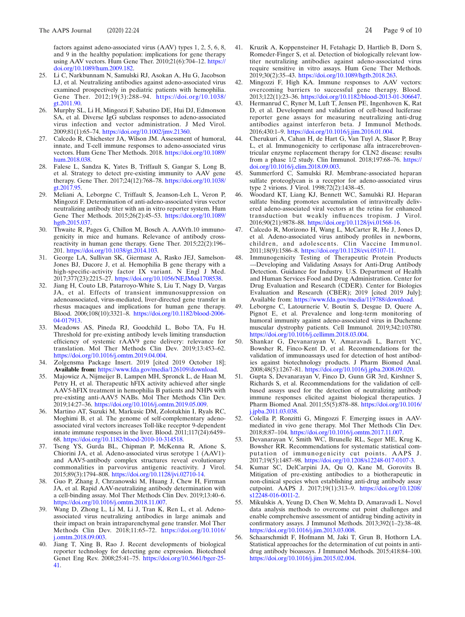<span id="page-8-0"></span>factors against adeno-associated virus (AAV) types 1, 2, 5, 6, 8, and 9 in the healthy population: implications for gene therapy using AAV vectors. Hum Gene Ther. 2010;21(6):704–12. [https://](http://dx.doi.org/10.1089/hum.2009.182) [doi.org/10.1089/hum.2009.182](http://dx.doi.org/10.1089/hum.2009.182).

- 25. Li C, Narkbunnam N, Samulski RJ, Asokan A, Hu G, Jacobson LJ, et al. Neutralizing antibodies against adeno-associated virus examined prospectively in pediatric patients with hemophilia. Gene Ther. 2012;19(3):288–94. [https://doi.org/10.1038/](http://dx.doi.org/10.1038/gt.2011.90) [gt.2011.90.](http://dx.doi.org/10.1038/gt.2011.90)
- 26. Murphy SL, Li H, Mingozzi F, Sabatino DE, Hui DJ, Edmonson SA, et al. Diverse IgG subclass responses to adeno-associated virus infection and vector administration. J Med Virol. 2009;81(1):65–74. [https://doi.org/10.1002/jmv.21360.](http://dx.doi.org/10.1002/jmv.21360)
- 27. Calcedo R, Chichester JA, Wilson JM. Assessment of humoral, innate, and T-cell immune responses to adeno-associated virus vectors. Hum Gene Ther Methods. 2018. [https://doi.org/10.1089/](http://dx.doi.org/10.1089/hum.2018.038) [hum.2018.038.](http://dx.doi.org/10.1089/hum.2018.038)
- 28. Falese L, Sandza K, Yates B, Triffault S, Gangar S, Long B, et al. Strategy to detect pre-existing immunity to AAV gene therapy. Gene Ther. 2017;24(12):768–78. [https://doi.org/10.1038/](http://dx.doi.org/10.1038/gt.2017.95) [gt.2017.95](http://dx.doi.org/10.1038/gt.2017.95).
- 29. Meliani A, Leborgne C, Triffault S, Jeanson-Leh L, Veron P, Mingozzi F. Determination of anti-adeno-associated virus vector neutralizing antibody titer with an in vitro reporter system. Hum Gene Ther Methods. 2015;26(2):45–53. [https://doi.org/10.1089/](http://dx.doi.org/10.1089/hgtb.2015.037) [hgtb.2015.037.](http://dx.doi.org/10.1089/hgtb.2015.037)
- 30. Thwaite R, Pages G, Chillon M, Bosch A. AAVrh.10 immunogenicity in mice and humans. Relevance of antibody crossreactivity in human gene therapy. Gene Ther. 2015;22(2):196– 201. [https://doi.org/10.1038/gt.2014.103](http://dx.doi.org/10.1038/gt.2014.103).
- 31. George LA, Sullivan SK, Giermasz A, Rasko JEJ, Samelson-Jones BJ, Ducore J, et al. Hemophilia B gene therapy with a high-specific-activity factor IX variant. N Engl J Med. 2017;377(23):2215–27. [https://doi.org/10.1056/NEJMoa1708538.](http://dx.doi.org/10.1056/NEJMoa1708538)
- 32. Jiang H, Couto LB, Patarroyo-White S, Liu T, Nagy D, Vargas JA, et al. Effects of transient immunosuppression on adenoassociated, virus-mediated, liver-directed gene transfer in rhesus macaques and implications for human gene therapy. Blood. 2006;108(10):3321–8. [https://doi.org/10.1182/blood-2006-](http://dx.doi.org/10.1182/blood-2006-04-017913) [04-017913](http://dx.doi.org/10.1182/blood-2006-04-017913).
- 33. Meadows AS, Pineda RJ, Goodchild L, Bobo TA, Fu H. Threshold for pre-existing antibody levels limiting transduction efficiency of systemic rAAV9 gene delivery: relevance for translation. Mol Ther Methods Clin Dev. 2019;13:453–62. [https://doi.org/10.1016/j.omtm.2019.04.004](http://dx.doi.org/10.1016/j.omtm.2019.04.004).
- 34. Zolgensma Package Insert. 2019 [cited 2019 October 18]; Available from: [https://www.fda.gov/media/126109/download.](https://www.fda.gov/media/126109/download)
- 35. Majowicz A, Nijmeijer B, Lampen MH, Spronck L, de Haan M, Petry H, et al. Therapeutic hFIX activity achieved after single AAV5-hFIX treatment in hemophilia B patients and NHPs with pre-existing anti-AAV5 NABs. Mol Ther Methods Clin Dev. 2019;14:27–36. [https://doi.org/10.1016/j.omtm.2019.05.009.](http://dx.doi.org/10.1016/j.omtm.2019.05.009)
- 36. Martino AT, Suzuki M, Markusic DM, Zolotukhin I, Ryals RC, Moghimi B, et al. The genome of self-complementary adenoassociated viral vectors increases Toll-like receptor 9-dependent innate immune responses in the liver. Blood. 2011;117(24):6459– 68. [https://doi.org/10.1182/blood-2010-10-314518.](http://dx.doi.org/10.1182/blood-2010-10-314518)
- 37. Tseng YS, Gurda BL, Chipman P, McKenna R, Afione S, Chiorini JA, et al. Adeno-associated virus serotype 1 (AAV1) and AAV5-antibody complex structures reveal evolutionary commonalities in parvovirus antigenic reactivity. J Virol. 2015;89(3):1794–808. [https://doi.org/10.1128/jvi.02710-14](http://dx.doi.org/10.1128/jvi.02710-14).
- 38. Guo P, Zhang J, Chrzanowski M, Huang J, Chew H, Firrman JA, et al. Rapid AAV-neutralizing antibody determination with a cell-binding assay. Mol Ther Methods Clin Dev. 2019;13:40–6. [https://doi.org/10.1016/j.omtm.2018.11.007](http://dx.doi.org/10.1016/j.omtm.2018.11.007).
- 39. Wang D, Zhong L, Li M, Li J, Tran K, Ren L, et al. Adenoassociated virus neutralizing antibodies in large animals and their impact on brain intraparenchymal gene transfer. Mol Ther Methods Clin Dev. 2018;11:65–72. [https://doi.org/10.1016/](http://dx.doi.org/10.1016/j.omtm.2018.09.003) [j.omtm.2018.09.003.](http://dx.doi.org/10.1016/j.omtm.2018.09.003)
- 40. Jiang T, Xing B, Rao J. Recent developments of biological reporter technology for detecting gene expression. Biotechnol Genet Eng Rev. 2008;25:41–75. [https://doi.org/10.5661/bger-25-](http://dx.doi.org/10.5661/bger-25-41) [41.](http://dx.doi.org/10.5661/bger-25-41)
- 41. Kruzik A, Koppensteiner H, Fetahagic D, Hartlieb B, Dorn S, Romeder-Finger S, et al. Detection of biologically relevant lowtiter neutralizing antibodies against adeno-associated virus require sensitive in vitro assays. Hum Gene Ther Methods. 2019;30(2):35–43. [https://doi.org/10.1089/hgtb.2018.263.](http://dx.doi.org/10.1089/hgtb.2018.263)
- 42. Mingozzi F, High KA. Immune responses to AAV vectors: overcoming barriers to successful gene therapy. Blood. 2013;122(1):23–36. [https://doi.org/10.1182/blood-2013-01-306647](http://dx.doi.org/10.1182/blood-2013-01-306647).
- 43. Hermanrud C, Ryner M, Luft T, Jensen PE, Ingenhoven K, Rat D, et al. Development and validation of cell-based luciferase reporter gene assays for measuring neutralizing anti-drug antibodies against interferon beta. J Immunol Methods. 2016;430:1–9. [https://doi.org/10.1016/j.jim.2016.01.004](http://dx.doi.org/10.1016/j.jim.2016.01.004).
- 44. Cherukuri A, Cahan H, de Hart G, Van Tuyl A, Slasor P, Bray L, et al. Immunogenicity to cerliponase alfa intracerebroventricular enzyme replacement therapy for CLN2 disease: results from a phase 1/2 study. Clin Immunol. 2018;197:68–76. [https://](http://dx.doi.org/10.1016/j.clim.2018.09.003) [doi.org/10.1016/j.clim.2018.09.003](http://dx.doi.org/10.1016/j.clim.2018.09.003).
- 45. Summerford C, Samulski RJ. Membrane-associated heparan sulfate proteoglycan is a receptor for adeno-associated virus type 2 virions. J Virol. 1998;72(2):1438–45.
- 46. Woodard KT, Liang KJ, Bennett WC, Samulski RJ. Heparan sulfate binding promotes accumulation of intravitreally delivered adeno-associated viral vectors at the retina for enhanced transduction but weakly influences tropism. J Virol. 2016;90(21):9878–88. [https://doi.org/10.1128/jvi.01568-16](http://dx.doi.org/10.1128/jvi.01568-16).
- 47. Calcedo R, Morizono H, Wang L, McCarter R, He J, Jones D, et al. Adeno-associated virus antibody profiles in newborns, children, and adolescents. Clin Vaccine Immunol. 2011;18(9):1586–8. [https://doi.org/10.1128/cvi.05107-11](http://dx.doi.org/10.1128/cvi.05107-11).
- 48. Immunogenicity Testing of Therapeutic Protein Products —Developing and Validating Assays for Anti-Drug Antibody Detection. Guidance for Industry. U.S. Department of Health and Human Services Food and Drug Administration. Center for Drug Evaluation and Research (CDER). Center for Biologics Evaluation and Research (CBER); 2019 [cited 2019 July]; Available from: [https://www.fda.gov/media/119788/download.](https://www.fda.gov/media/119788/download)
- 49. Leborgne C, Latournerie V, Boutin S, Desgue D, Quere A, Pignot E, et al. Prevalence and long-term monitoring of humoral immunity against adeno-associated virus in Duchenne muscular dystrophy patients. Cell Immunol. 2019;342:103780. [https://doi.org/10.1016/j.cellimm.2018.03.004](http://dx.doi.org/10.1016/j.cellimm.2018.03.004).
- 50. Shankar G, Devanarayan V, Amaravadi L, Barrett YC, Bowsher R, Finco-Kent D, et al. Recommendations for the validation of immunoassays used for detection of host antibodies against biotechnology products. J Pharm Biomed Anal. 2008;48(5):1267–81. [https://doi.org/10.1016/j.jpba.2008.09.020](http://dx.doi.org/10.1016/j.jpba.2008.09.020).
- 51. Gupta S, Devanarayan V, Finco D, Gunn GR 3rd, Kirshner S, Richards S, et al. Recommendations for the validation of cellbased assays used for the detection of neutralizing antibody immune responses elicited against biological therapeutics. J Pharm Biomed Anal. 2011;55(5):878–88. [https://doi.org/10.1016/](http://dx.doi.org/10.1016/j.jpba.2011.03.038) [j.jpba.2011.03.038](http://dx.doi.org/10.1016/j.jpba.2011.03.038).
- 52. Colella P, Ronzitti G, Mingozzi F. Emerging issues in AAVmediated in vivo gene therapy. Mol Ther Methods Clin Dev. 2018;8:87–104. [https://doi.org/10.1016/j.omtm.2017.11.007](http://dx.doi.org/10.1016/j.omtm.2017.11.007).
- 53. Devanarayan V, Smith WC, Brunelle RL, Seger ME, Krug K, Bowsher RR. Recommendations for systematic statistical computation of immunogenicity cut points. AAPS J. 2017;19(5):1487–98. [https://doi.org/10.1208/s12248-017-0107-3](http://dx.doi.org/10.1208/s12248-017-0107-3).
- 54. Kumar SC, DelCarpini JA, Qu Q, Kane M, Gorovits B. Mitigation of pre-existing antibodies to a biotherapeutic in non-clinical species when establishing anti-drug antibody assay cutpoint. AAPS J. 2017;19(1):313–9. [https://doi.org/10.1208/](http://dx.doi.org/10.1208/s12248-016-0011-2) [s12248-016-0011-2](http://dx.doi.org/10.1208/s12248-016-0011-2).
- 55. Mikulskis A, Yeung D, Chen W, Mehta D, Amaravadi L. Novel data analysis methods to overcome cut point challenges and enable comprehensive assessment of antidrug binding activity in confirmatory assays. J Immunol Methods. 2013;392(1–2):38–48. [https://doi.org/10.1016/j.jim.2013.03.008](http://dx.doi.org/10.1016/j.jim.2013.03.008).
- 56. Schaarschmidt F, Hofmann M, Jaki T, Grun B, Hothorn LA. Statistical approaches for the determination of cut points in antidrug antibody bioassays. J Immunol Methods. 2015;418:84–100. [https://doi.org/10.1016/j.jim.2015.02.004](http://dx.doi.org/10.1016/j.jim.2015.02.004).